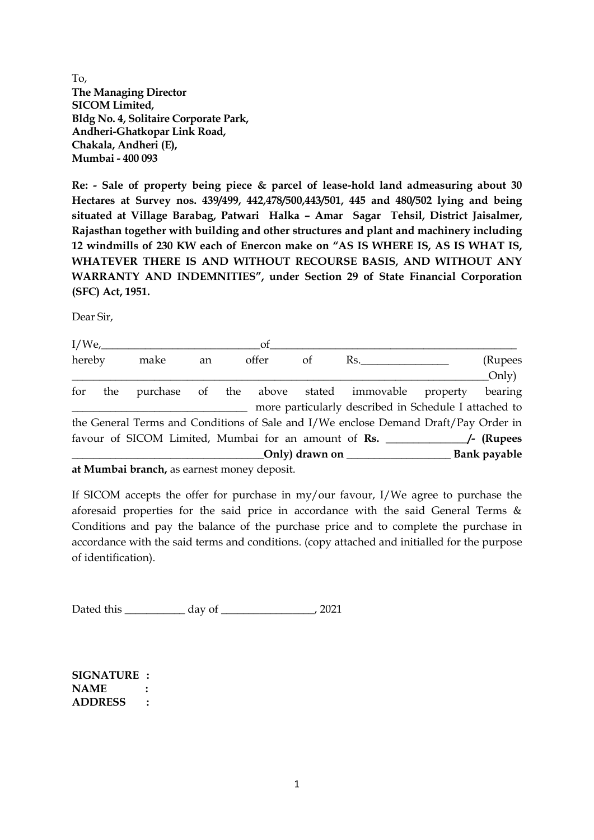To, **The Managing Director SICOM Limited, Bldg No. 4, Solitaire Corporate Park, Andheri-Ghatkopar Link Road, Chakala, Andheri (E), Mumbai - 400 093**

**Re: - Sale of property being piece & parcel of lease-hold land admeasuring about 30 Hectares at Survey nos. 439/499, 442,478/500,443/501, 445 and 480/502 lying and being situated at Village Barabag, Patwari Halka – Amar Sagar Tehsil, District Jaisalmer, Rajasthan together with building and other structures and plant and machinery including 12 windmills of 230 KW each of Enercon make on "AS IS WHERE IS, AS IS WHAT IS, WHATEVER THERE IS AND WITHOUT RECOURSE BASIS, AND WITHOUT ANY WARRANTY AND INDEMNITIES", under Section 29 of State Financial Corporation (SFC) Act, 1951.**

Dear Sir,

|        |     |                                                         |             |  | of |    |                                                                                     |              |
|--------|-----|---------------------------------------------------------|-------------|--|----|----|-------------------------------------------------------------------------------------|--------------|
| hereby |     | make                                                    | offer<br>an |  |    | of | Rs.                                                                                 | (Rupees      |
|        |     |                                                         |             |  |    |    |                                                                                     | Only)        |
| for    | the |                                                         |             |  |    |    | purchase of the above stated immovable property                                     | bearing      |
|        |     |                                                         |             |  |    |    | more particularly described in Schedule I attached to                               |              |
|        |     |                                                         |             |  |    |    | the General Terms and Conditions of Sale and I/We enclose Demand Draft/Pay Order in |              |
|        |     |                                                         |             |  |    |    |                                                                                     |              |
|        |     |                                                         |             |  |    |    | $\text{Only}$ ) drawn on                                                            | Bank payable |
|        |     | et Messala al Janan els concernants per que que despoit |             |  |    |    |                                                                                     |              |

**at Mumbai branch,** as earnest money deposit.

If SICOM accepts the offer for purchase in my/our favour, I/We agree to purchase the aforesaid properties for the said price in accordance with the said General Terms & Conditions and pay the balance of the purchase price and to complete the purchase in accordance with the said terms and conditions. (copy attached and initialled for the purpose of identification).

Dated this \_\_\_\_\_\_\_\_\_\_\_ day of \_\_\_\_\_\_\_\_\_\_\_\_\_\_\_\_\_, 2021

**SIGNATURE : NAME : ADDRESS :**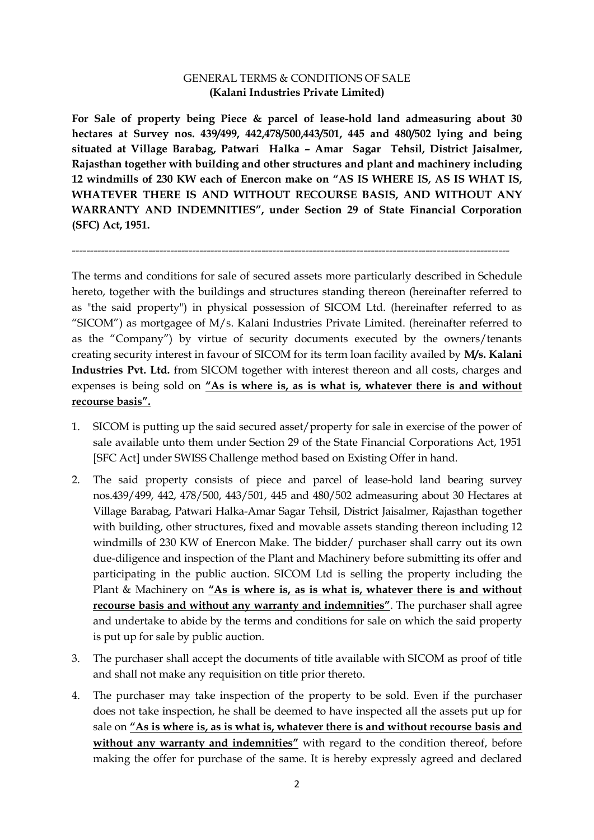## GENERAL TERMS & CONDITIONS OF SALE **(Kalani Industries Private Limited)**

**For Sale of property being Piece & parcel of lease-hold land admeasuring about 30 hectares at Survey nos. 439/499, 442,478/500,443/501, 445 and 480/502 lying and being situated at Village Barabag, Patwari Halka – Amar Sagar Tehsil, District Jaisalmer, Rajasthan together with building and other structures and plant and machinery including 12 windmills of 230 KW each of Enercon make on "AS IS WHERE IS, AS IS WHAT IS, WHATEVER THERE IS AND WITHOUT RECOURSE BASIS, AND WITHOUT ANY WARRANTY AND INDEMNITIES", under Section 29 of State Financial Corporation (SFC) Act, 1951.**

------------------------------------------------------------------------------------------------------------------------

The terms and conditions for sale of secured assets more particularly described in Schedule hereto, together with the buildings and structures standing thereon (hereinafter referred to as "the said property") in physical possession of SICOM Ltd. (hereinafter referred to as "SICOM") as mortgagee of M/s. Kalani Industries Private Limited. (hereinafter referred to as the "Company") by virtue of security documents executed by the owners/tenants creating security interest in favour of SICOM for its term loan facility availed by **M/s. Kalani Industries Pvt. Ltd.** from SICOM together with interest thereon and all costs, charges and expenses is being sold on **"As is where is, as is what is, whatever there is and without recourse basis".**

- 1. SICOM is putting up the said secured asset/property for sale in exercise of the power of sale available unto them under Section 29 of the State Financial Corporations Act, 1951 [SFC Act] under SWISS Challenge method based on Existing Offer in hand.
- 2. The said property consists of piece and parcel of lease-hold land bearing survey nos.439/499, 442, 478/500, 443/501, 445 and 480/502 admeasuring about 30 Hectares at Village Barabag, Patwari Halka-Amar Sagar Tehsil, District Jaisalmer, Rajasthan together with building, other structures, fixed and movable assets standing thereon including 12 windmills of 230 KW of Enercon Make. The bidder/ purchaser shall carry out its own due-diligence and inspection of the Plant and Machinery before submitting its offer and participating in the public auction. SICOM Ltd is selling the property including the Plant & Machinery on **"As is where is, as is what is, whatever there is and without recourse basis and without any warranty and indemnities"**. The purchaser shall agree and undertake to abide by the terms and conditions for sale on which the said property is put up for sale by public auction.
- 3. The purchaser shall accept the documents of title available with SICOM as proof of title and shall not make any requisition on title prior thereto.
- 4. The purchaser may take inspection of the property to be sold. Even if the purchaser does not take inspection, he shall be deemed to have inspected all the assets put up for sale on **"As is where is, as is what is, whatever there is and without recourse basis and without any warranty and indemnities"** with regard to the condition thereof, before making the offer for purchase of the same. It is hereby expressly agreed and declared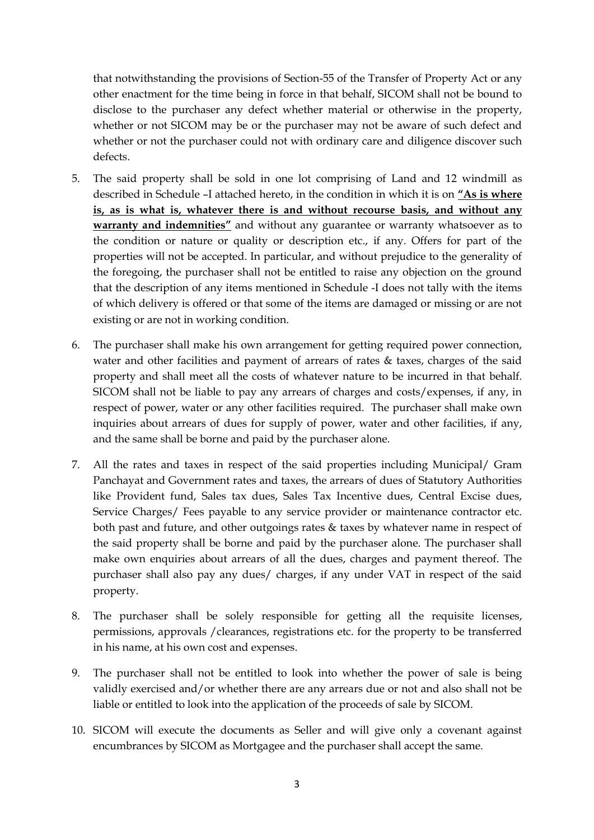that notwithstanding the provisions of Section-55 of the Transfer of Property Act or any other enactment for the time being in force in that behalf, SICOM shall not be bound to disclose to the purchaser any defect whether material or otherwise in the property, whether or not SICOM may be or the purchaser may not be aware of such defect and whether or not the purchaser could not with ordinary care and diligence discover such defects.

- 5. The said property shall be sold in one lot comprising of Land and 12 windmill as described in Schedule –I attached hereto, in the condition in which it is on **"As is where is, as is what is, whatever there is and without recourse basis, and without any warranty and indemnities"** and without any guarantee or warranty whatsoever as to the condition or nature or quality or description etc., if any. Offers for part of the properties will not be accepted. In particular, and without prejudice to the generality of the foregoing, the purchaser shall not be entitled to raise any objection on the ground that the description of any items mentioned in Schedule -I does not tally with the items of which delivery is offered or that some of the items are damaged or missing or are not existing or are not in working condition.
- 6. The purchaser shall make his own arrangement for getting required power connection, water and other facilities and payment of arrears of rates & taxes, charges of the said property and shall meet all the costs of whatever nature to be incurred in that behalf. SICOM shall not be liable to pay any arrears of charges and costs/expenses, if any, in respect of power, water or any other facilities required. The purchaser shall make own inquiries about arrears of dues for supply of power, water and other facilities, if any, and the same shall be borne and paid by the purchaser alone.
- 7. All the rates and taxes in respect of the said properties including Municipal/ Gram Panchayat and Government rates and taxes, the arrears of dues of Statutory Authorities like Provident fund, Sales tax dues, Sales Tax Incentive dues, Central Excise dues, Service Charges/ Fees payable to any service provider or maintenance contractor etc. both past and future, and other outgoings rates & taxes by whatever name in respect of the said property shall be borne and paid by the purchaser alone. The purchaser shall make own enquiries about arrears of all the dues, charges and payment thereof. The purchaser shall also pay any dues/ charges, if any under VAT in respect of the said property.
- 8. The purchaser shall be solely responsible for getting all the requisite licenses, permissions, approvals /clearances, registrations etc. for the property to be transferred in his name, at his own cost and expenses.
- 9. The purchaser shall not be entitled to look into whether the power of sale is being validly exercised and/or whether there are any arrears due or not and also shall not be liable or entitled to look into the application of the proceeds of sale by SICOM.
- 10. SICOM will execute the documents as Seller and will give only a covenant against encumbrances by SICOM as Mortgagee and the purchaser shall accept the same.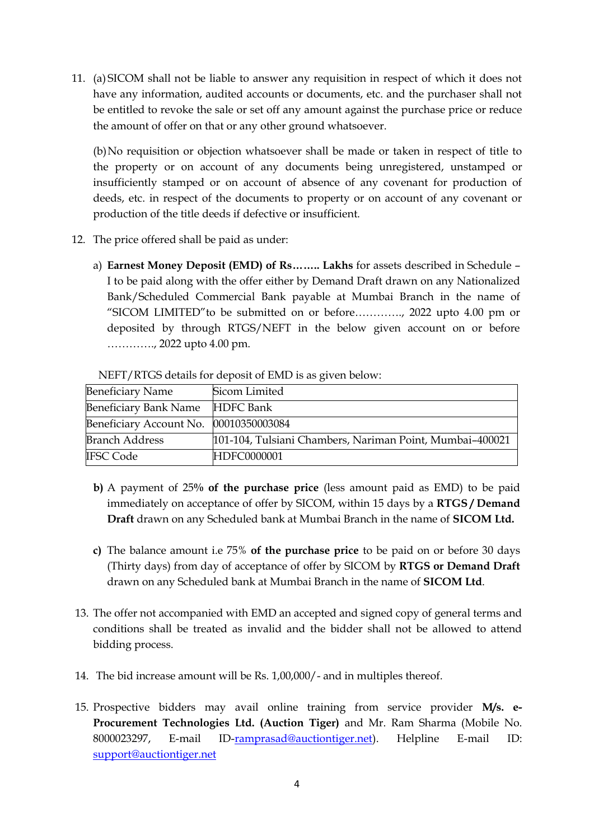11. (a) SICOM shall not be liable to answer any requisition in respect of which it does not have any information, audited accounts or documents, etc. and the purchaser shall not be entitled to revoke the sale or set off any amount against the purchase price or reduce the amount of offer on that or any other ground whatsoever.

(b)No requisition or objection whatsoever shall be made or taken in respect of title to the property or on account of any documents being unregistered, unstamped or insufficiently stamped or on account of absence of any covenant for production of deeds, etc. in respect of the documents to property or on account of any covenant or production of the title deeds if defective or insufficient.

- 12. The price offered shall be paid as under:
	- a) **Earnest Money Deposit (EMD) of Rs…….. Lakhs** for assets described in Schedule I to be paid along with the offer either by Demand Draft drawn on any Nationalized Bank/Scheduled Commercial Bank payable at Mumbai Branch in the name of "SICOM LIMITED"to be submitted on or before…………., 2022 upto 4.00 pm or deposited by through RTGS/NEFT in the below given account on or before …………., 2022 upto 4.00 pm.

| <b>Beneficiary Name</b>                | Sicom Limited                                            |  |  |  |  |  |
|----------------------------------------|----------------------------------------------------------|--|--|--|--|--|
| Beneficiary Bank Name HDFC Bank        |                                                          |  |  |  |  |  |
| Beneficiary Account No. 00010350003084 |                                                          |  |  |  |  |  |
| <b>Branch Address</b>                  | 101-104, Tulsiani Chambers, Nariman Point, Mumbai-400021 |  |  |  |  |  |
| <b>IFSC Code</b>                       | HDFC0000001                                              |  |  |  |  |  |

NEFT/RTGS details for deposit of EMD is as given below:

- **b)** A payment of 25**% of the purchase price** (less amount paid as EMD) to be paid immediately on acceptance of offer by SICOM, within 15 days by a **RTGS / Demand Draft** drawn on any Scheduled bank at Mumbai Branch in the name of **SICOM Ltd.**
- **c)** The balance amount i.e 75% **of the purchase price** to be paid on or before 30 days (Thirty days) from day of acceptance of offer by SICOM by **RTGS or Demand Draft** drawn on any Scheduled bank at Mumbai Branch in the name of **SICOM Ltd**.
- 13. The offer not accompanied with EMD an accepted and signed copy of general terms and conditions shall be treated as invalid and the bidder shall not be allowed to attend bidding process.
- 14. The bid increase amount will be Rs. 1,00,000/- and in multiples thereof.
- 15. Prospective bidders may avail online training from service provider **M/s. e-Procurement Technologies Ltd. (Auction Tiger)** and Mr. Ram Sharma (Mobile No. 8000023297, E-mail ID[-ramprasad@auctiontiger.net\)](mailto:ramprasad@auctiontiger.net). Helpline E-mail ID: [support@auctiontiger.net](mailto:support@auctiontiger.net)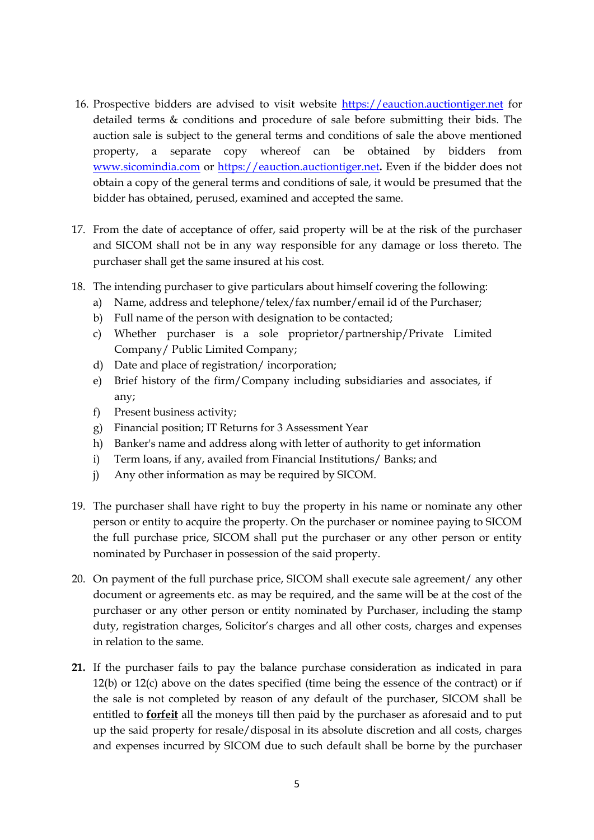- 16. Prospective bidders are advised to visit website [https://eauction.auctiontiger.net](https://eauction.auctiontiger.net/) for detailed terms & conditions and procedure of sale before submitting their bids. The auction sale is subject to the general terms and conditions of sale the above mentioned property, a separate copy whereof can be obtained by bidders from [www.sicomindia.com](http://www.sicomindia.com/) or [https://eauction.auctiontiger.net](https://eauction.auctiontiger.net/)**.** Even if the bidder does not obtain a copy of the general terms and conditions of sale, it would be presumed that the bidder has obtained, perused, examined and accepted the same.
- 17. From the date of acceptance of offer, said property will be at the risk of the purchaser and SICOM shall not be in any way responsible for any damage or loss thereto. The purchaser shall get the same insured at his cost.
- 18. The intending purchaser to give particulars about himself covering the following:
	- a) Name, address and telephone/telex/fax number/email id of the Purchaser;
	- b) Full name of the person with designation to be contacted;
	- c) Whether purchaser is a sole proprietor/partnership/Private Limited Company/ Public Limited Company;
	- d) Date and place of registration/ incorporation;
	- e) Brief history of the firm/Company including subsidiaries and associates, if any;
	- f) Present business activity;
	- g) Financial position; IT Returns for 3 Assessment Year
	- h) Banker's name and address along with letter of authority to get information
	- i) Term loans, if any, availed from Financial Institutions/ Banks; and
	- j) Any other information as may be required by SICOM.
- 19. The purchaser shall have right to buy the property in his name or nominate any other person or entity to acquire the property. On the purchaser or nominee paying to SICOM the full purchase price, SICOM shall put the purchaser or any other person or entity nominated by Purchaser in possession of the said property.
- 20. On payment of the full purchase price, SICOM shall execute sale agreement/ any other document or agreements etc. as may be required, and the same will be at the cost of the purchaser or any other person or entity nominated by Purchaser, including the stamp duty, registration charges, Solicitor's charges and all other costs, charges and expenses in relation to the same.
- **21.** If the purchaser fails to pay the balance purchase consideration as indicated in para 12(b) or 12(c) above on the dates specified (time being the essence of the contract) or if the sale is not completed by reason of any default of the purchaser, SICOM shall be entitled to **forfeit** all the moneys till then paid by the purchaser as aforesaid and to put up the said property for resale/disposal in its absolute discretion and all costs, charges and expenses incurred by SICOM due to such default shall be borne by the purchaser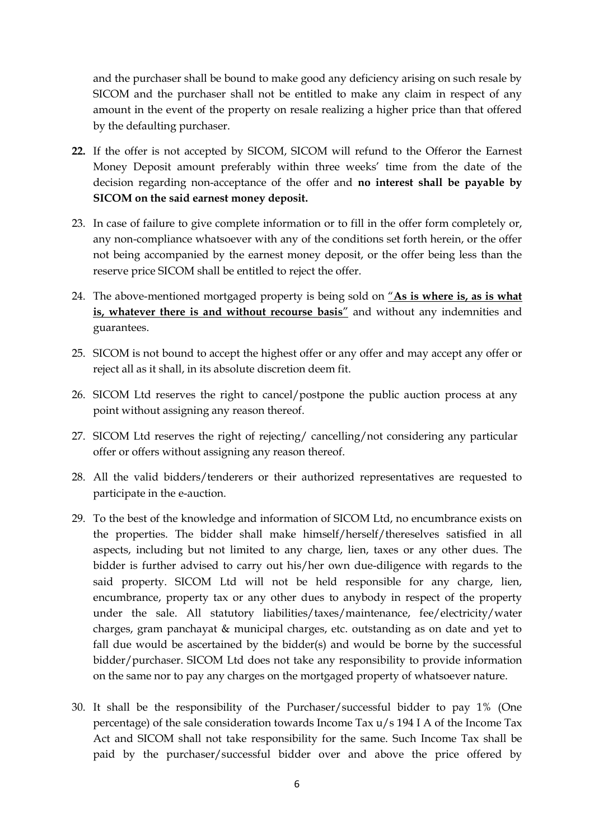and the purchaser shall be bound to make good any deficiency arising on such resale by SICOM and the purchaser shall not be entitled to make any claim in respect of any amount in the event of the property on resale realizing a higher price than that offered by the defaulting purchaser.

- **22.** If the offer is not accepted by SICOM, SICOM will refund to the Offeror the Earnest Money Deposit amount preferably within three weeks' time from the date of the decision regarding non-acceptance of the offer and **no interest shall be payable by SICOM on the said earnest money deposit.**
- 23. In case of failure to give complete information or to fill in the offer form completely or, any non-compliance whatsoever with any of the conditions set forth herein, or the offer not being accompanied by the earnest money deposit, or the offer being less than the reserve price SICOM shall be entitled to reject the offer.
- 24. The above-mentioned mortgaged property is being sold on "**As is where is, as is what is, whatever there is and without recourse basis**" and without any indemnities and guarantees.
- 25. SICOM is not bound to accept the highest offer or any offer and may accept any offer or reject all as it shall, in its absolute discretion deem fit.
- 26. SICOM Ltd reserves the right to cancel/postpone the public auction process at any point without assigning any reason thereof.
- 27. SICOM Ltd reserves the right of rejecting/ cancelling/not considering any particular offer or offers without assigning any reason thereof.
- 28. All the valid bidders/tenderers or their authorized representatives are requested to participate in the e-auction.
- 29. To the best of the knowledge and information of SICOM Ltd, no encumbrance exists on the properties. The bidder shall make himself/herself/thereselves satisfied in all aspects, including but not limited to any charge, lien, taxes or any other dues. The bidder is further advised to carry out his/her own due-diligence with regards to the said property. SICOM Ltd will not be held responsible for any charge, lien, encumbrance, property tax or any other dues to anybody in respect of the property under the sale. All statutory liabilities/taxes/maintenance, fee/electricity/water charges, gram panchayat & municipal charges, etc. outstanding as on date and yet to fall due would be ascertained by the bidder(s) and would be borne by the successful bidder/purchaser. SICOM Ltd does not take any responsibility to provide information on the same nor to pay any charges on the mortgaged property of whatsoever nature.
- 30. It shall be the responsibility of the Purchaser/successful bidder to pay 1% (One percentage) of the sale consideration towards Income Tax  $u/s$  194 I A of the Income Tax Act and SICOM shall not take responsibility for the same. Such Income Tax shall be paid by the purchaser/successful bidder over and above the price offered by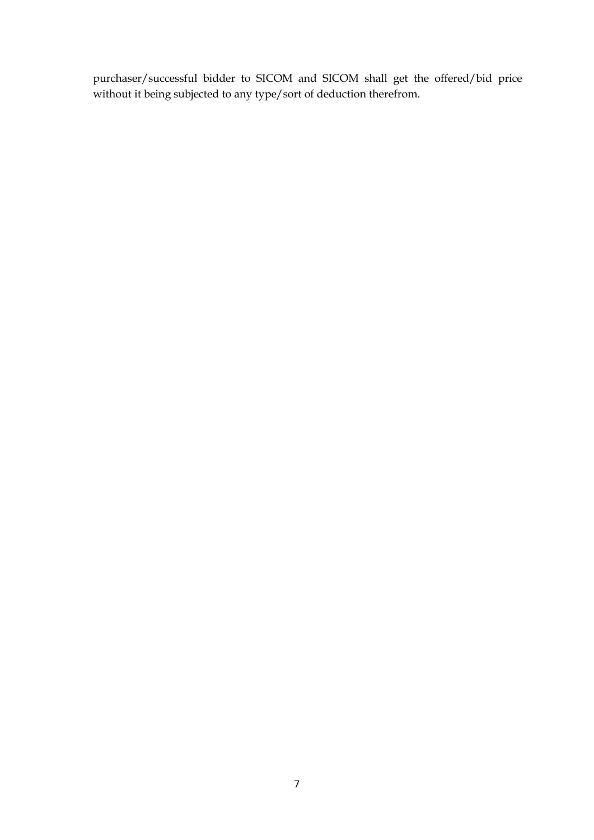purchaser/successful bidder to SICOM and SICOM shall get the offered/bid price without it being subjected to any type/sort of deduction therefrom.